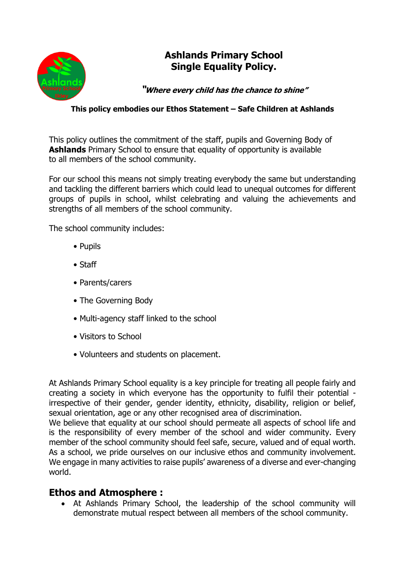

# **Ashlands Primary School Single Equality Policy.**

**"Where every child has the chance to shine"**

#### **This policy embodies our Ethos Statement – Safe Children at Ashlands**

This policy outlines the commitment of the staff, pupils and Governing Body of **Ashlands** Primary School to ensure that equality of opportunity is available to all members of the school community.

For our school this means not simply treating everybody the same but understanding and tackling the different barriers which could lead to unequal outcomes for different groups of pupils in school, whilst celebrating and valuing the achievements and strengths of all members of the school community.

The school community includes:

- Pupils
- Staff
- Parents/carers
- The Governing Body
- Multi-agency staff linked to the school
- Visitors to School
- Volunteers and students on placement.

At Ashlands Primary School equality is a key principle for treating all people fairly and creating a society in which everyone has the opportunity to fulfil their potential irrespective of their gender, gender identity, ethnicity, disability, religion or belief, sexual orientation, age or any other recognised area of discrimination.

We believe that equality at our school should permeate all aspects of school life and is the responsibility of every member of the school and wider community. Every member of the school community should feel safe, secure, valued and of equal worth. As a school, we pride ourselves on our inclusive ethos and community involvement. We engage in many activities to raise pupils' awareness of a diverse and ever-changing world.

#### **Ethos and Atmosphere :**

• At Ashlands Primary School, the leadership of the school community will demonstrate mutual respect between all members of the school community.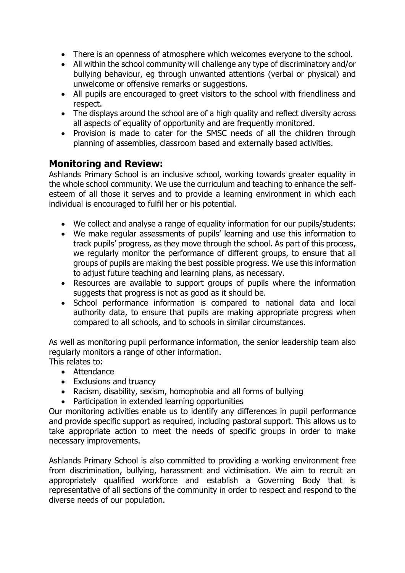- There is an openness of atmosphere which welcomes everyone to the school.
- All within the school community will challenge any type of discriminatory and/or bullying behaviour, eg through unwanted attentions (verbal or physical) and unwelcome or offensive remarks or suggestions.
- All pupils are encouraged to greet visitors to the school with friendliness and respect.
- The displays around the school are of a high quality and reflect diversity across all aspects of equality of opportunity and are frequently monitored.
- Provision is made to cater for the SMSC needs of all the children through planning of assemblies, classroom based and externally based activities.

### **Monitoring and Review:**

Ashlands Primary School is an inclusive school, working towards greater equality in the whole school community. We use the curriculum and teaching to enhance the selfesteem of all those it serves and to provide a learning environment in which each individual is encouraged to fulfil her or his potential.

- We collect and analyse a range of equality information for our pupils/students:
- We make regular assessments of pupils' learning and use this information to track pupils' progress, as they move through the school. As part of this process, we regularly monitor the performance of different groups, to ensure that all groups of pupils are making the best possible progress. We use this information to adjust future teaching and learning plans, as necessary.
- Resources are available to support groups of pupils where the information suggests that progress is not as good as it should be.
- School performance information is compared to national data and local authority data, to ensure that pupils are making appropriate progress when compared to all schools, and to schools in similar circumstances.

As well as monitoring pupil performance information, the senior leadership team also regularly monitors a range of other information.

This relates to:

- Attendance
- Exclusions and truancy
- Racism, disability, sexism, homophobia and all forms of bullying
- Participation in extended learning opportunities

Our monitoring activities enable us to identify any differences in pupil performance and provide specific support as required, including pastoral support. This allows us to take appropriate action to meet the needs of specific groups in order to make necessary improvements.

Ashlands Primary School is also committed to providing a working environment free from discrimination, bullying, harassment and victimisation. We aim to recruit an appropriately qualified workforce and establish a Governing Body that is representative of all sections of the community in order to respect and respond to the diverse needs of our population.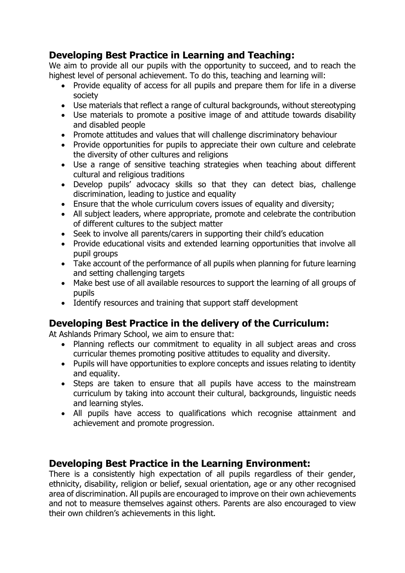# **Developing Best Practice in Learning and Teaching:**

We aim to provide all our pupils with the opportunity to succeed, and to reach the highest level of personal achievement. To do this, teaching and learning will:

- Provide equality of access for all pupils and prepare them for life in a diverse society
- Use materials that reflect a range of cultural backgrounds, without stereotyping
- Use materials to promote a positive image of and attitude towards disability and disabled people
- Promote attitudes and values that will challenge discriminatory behaviour
- Provide opportunities for pupils to appreciate their own culture and celebrate the diversity of other cultures and religions
- Use a range of sensitive teaching strategies when teaching about different cultural and religious traditions
- Develop pupils' advocacy skills so that they can detect bias, challenge discrimination, leading to justice and equality
- Ensure that the whole curriculum covers issues of equality and diversity;
- All subject leaders, where appropriate, promote and celebrate the contribution of different cultures to the subject matter
- Seek to involve all parents/carers in supporting their child's education
- Provide educational visits and extended learning opportunities that involve all pupil groups
- Take account of the performance of all pupils when planning for future learning and setting challenging targets
- Make best use of all available resources to support the learning of all groups of pupils
- Identify resources and training that support staff development

### **Developing Best Practice in the delivery of the Curriculum:**

At Ashlands Primary School, we aim to ensure that:

- Planning reflects our commitment to equality in all subject areas and cross curricular themes promoting positive attitudes to equality and diversity.
- Pupils will have opportunities to explore concepts and issues relating to identity and equality.
- Steps are taken to ensure that all pupils have access to the mainstream curriculum by taking into account their cultural, backgrounds, linguistic needs and learning styles.
- All pupils have access to qualifications which recognise attainment and achievement and promote progression.

### **Developing Best Practice in the Learning Environment:**

There is a consistently high expectation of all pupils regardless of their gender, ethnicity, disability, religion or belief, sexual orientation, age or any other recognised area of discrimination. All pupils are encouraged to improve on their own achievements and not to measure themselves against others. Parents are also encouraged to view their own children's achievements in this light.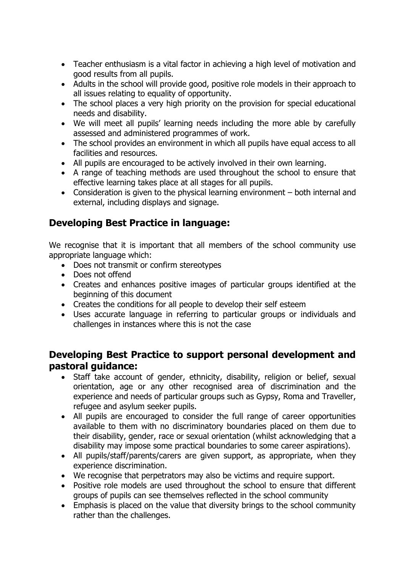- Teacher enthusiasm is a vital factor in achieving a high level of motivation and good results from all pupils.
- Adults in the school will provide good, positive role models in their approach to all issues relating to equality of opportunity.
- The school places a very high priority on the provision for special educational needs and disability.
- We will meet all pupils' learning needs including the more able by carefully assessed and administered programmes of work.
- The school provides an environment in which all pupils have equal access to all facilities and resources.
- All pupils are encouraged to be actively involved in their own learning.
- A range of teaching methods are used throughout the school to ensure that effective learning takes place at all stages for all pupils.
- Consideration is given to the physical learning environment both internal and external, including displays and signage.

# **Developing Best Practice in language:**

We recognise that it is important that all members of the school community use appropriate language which:

- Does not transmit or confirm stereotypes
- Does not offend
- Creates and enhances positive images of particular groups identified at the beginning of this document
- Creates the conditions for all people to develop their self esteem
- Uses accurate language in referring to particular groups or individuals and challenges in instances where this is not the case

### **Developing Best Practice to support personal development and pastoral guidance:**

- Staff take account of gender, ethnicity, disability, religion or belief, sexual orientation, age or any other recognised area of discrimination and the experience and needs of particular groups such as Gypsy, Roma and Traveller, refugee and asylum seeker pupils.
- All pupils are encouraged to consider the full range of career opportunities available to them with no discriminatory boundaries placed on them due to their disability, gender, race or sexual orientation (whilst acknowledging that a disability may impose some practical boundaries to some career aspirations).
- All pupils/staff/parents/carers are given support, as appropriate, when they experience discrimination.
- We recognise that perpetrators may also be victims and require support.
- Positive role models are used throughout the school to ensure that different groups of pupils can see themselves reflected in the school community
- Emphasis is placed on the value that diversity brings to the school community rather than the challenges.